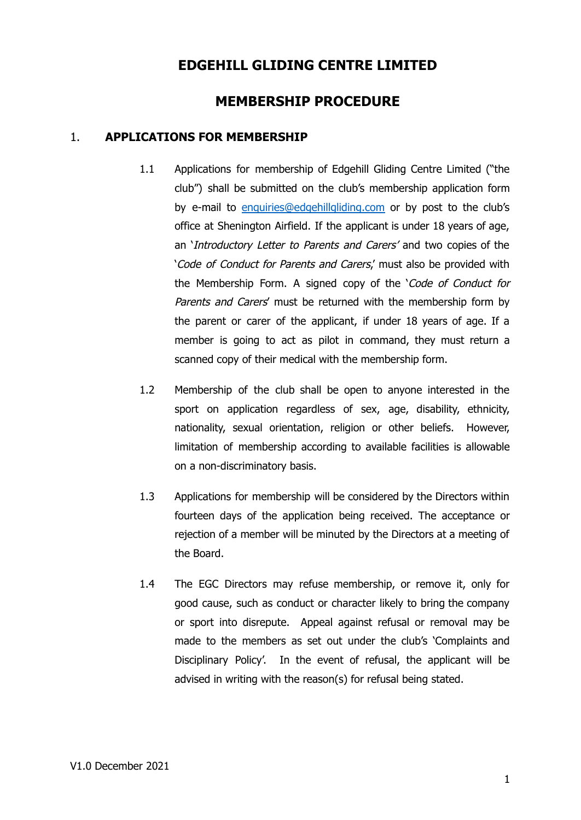# **EDGEHILL GLIDING CENTRE LIMITED**

# **MEMBERSHIP PROCEDURE**

## 1. **APPLICATIONS FOR MEMBERSHIP**

- 1.1 Applications for membership of Edgehill Gliding Centre Limited ("the club") shall be submitted on the club's membership application form by e-mail to [enquiries@edgehillgliding.com](mailto:enquiries@edgehillgliding.com) or by post to the club's office at Shenington Airfield. If the applicant is under 18 years of age, an 'Introductory Letter to Parents and Carers' and two copies of the 'Code of Conduct for Parents and Carers,' must also be provided with the Membership Form. A signed copy of the 'Code of Conduct for Parents and Carers' must be returned with the membership form by the parent or carer of the applicant, if under 18 years of age. If a member is going to act as pilot in command, they must return a scanned copy of their medical with the membership form.
- 1.2 Membership of the club shall be open to anyone interested in the sport on application regardless of sex, age, disability, ethnicity, nationality, sexual orientation, religion or other beliefs. However, limitation of membership according to available facilities is allowable on a non-discriminatory basis.
- 1.3 Applications for membership will be considered by the Directors within fourteen days of the application being received. The acceptance or rejection of a member will be minuted by the Directors at a meeting of the Board.
- 1.4 The EGC Directors may refuse membership, or remove it, only for good cause, such as conduct or character likely to bring the company or sport into disrepute. Appeal against refusal or removal may be made to the members as set out under the club's 'Complaints and Disciplinary Policy'. In the event of refusal, the applicant will be advised in writing with the reason(s) for refusal being stated.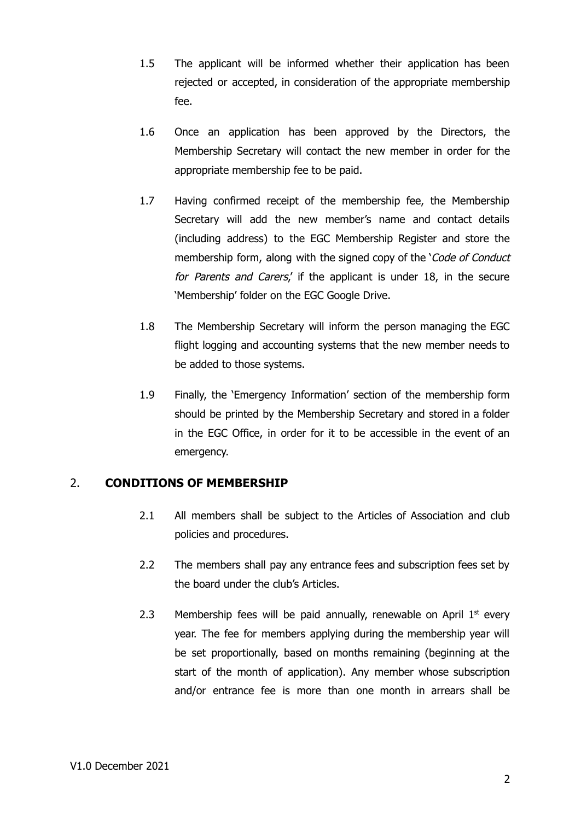- 1.5 The applicant will be informed whether their application has been rejected or accepted, in consideration of the appropriate membership fee.
- 1.6 Once an application has been approved by the Directors, the Membership Secretary will contact the new member in order for the appropriate membership fee to be paid.
- 1.7 Having confirmed receipt of the membership fee, the Membership Secretary will add the new member's name and contact details (including address) to the EGC Membership Register and store the membership form, along with the signed copy of the 'Code of Conduct for Parents and Carers,' if the applicant is under 18, in the secure 'Membership' folder on the EGC Google Drive.
- 1.8 The Membership Secretary will inform the person managing the EGC flight logging and accounting systems that the new member needs to be added to those systems.
- 1.9 Finally, the 'Emergency Information' section of the membership form should be printed by the Membership Secretary and stored in a folder in the EGC Office, in order for it to be accessible in the event of an emergency.

### 2. **CONDITIONS OF MEMBERSHIP**

- 2.1 All members shall be subject to the Articles of Association and club policies and procedures.
- 2.2 The members shall pay any entrance fees and subscription fees set by the board under the club's Articles.
- 2.3 Membership fees will be paid annually, renewable on April  $1<sup>st</sup>$  every year. The fee for members applying during the membership year will be set proportionally, based on months remaining (beginning at the start of the month of application). Any member whose subscription and/or entrance fee is more than one month in arrears shall be